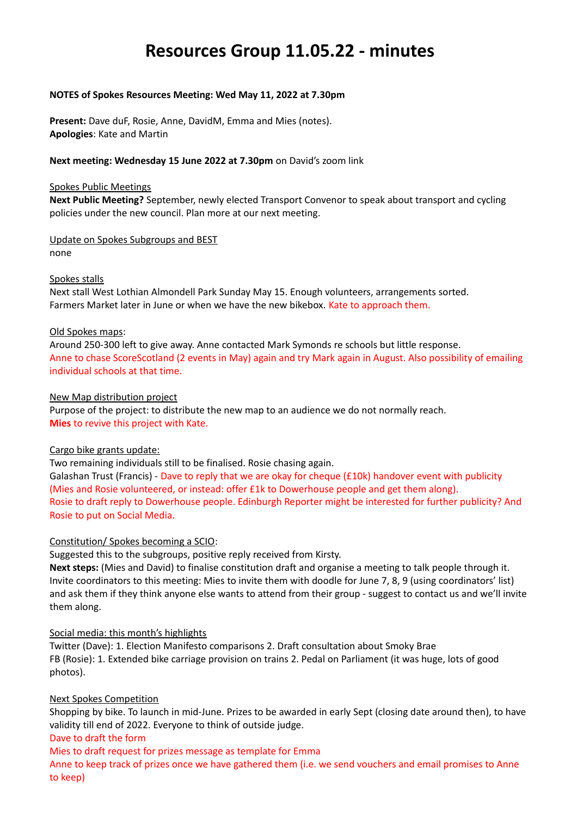# **Resources Group 11.05.22 - minutes**

## **NOTES of Spokes Resources Meeting: Wed May 11, 2022 at 7.30pm**

**Present:** Dave duF, Rosie, Anne, DavidM, Emma and Mies (notes). **Apologies**: Kate and Martin

## **Next meeting: Wednesday 15 June 2022 at 7.30pm** on David's zoom link

### Spokes Public Meetings

**Next Public Meeting?** September, newly elected Transport Convenor to speak about transport and cycling policies under the new council. Plan more at our next meeting.

Update on Spokes Subgroups and BEST none

## Spokes stalls

Next stall West Lothian Almondell Park Sunday May 15. Enough volunteers, arrangements sorted. Farmers Market later in June or when we have the new bikebox. Kate to approach them.

## Old Spokes maps:

Around 250-300 left to give away. Anne contacted Mark Symonds re schools but little response. Anne to chase ScoreScotland (2 events in May) again and try Mark again in August. Also possibility of emailing individual schools at that time.

## New Map distribution project

Purpose of the project: to distribute the new map to an audience we do not normally reach. **Mies** to revive this project with Kate.

# Cargo bike grants update:

Two remaining individuals still to be finalised. Rosie chasing again.

Galashan Trust (Francis) - Dave to reply that we are okay for cheque (£10k) handover event with publicity (Mies and Rosie volunteered, or instead: offer £1k to Dowerhouse people and get them along). Rosie to draft reply to Dowerhouse people. Edinburgh Reporter might be interested for further publicity? And Rosie to put on Social Media.

# Constitution/ Spokes becoming a SCIO:

Suggested this to the subgroups, positive reply received from Kirsty.

**Next steps:** (Mies and David) to finalise constitution draft and organise a meeting to talk people through it. Invite coordinators to this meeting: Mies to invite them with doodle for June 7, 8, 9 (using coordinators' list) and ask them if they think anyone else wants to attend from their group - suggest to contact us and we'll invite them along.

# Social media: this month's highlights

Twitter (Dave): 1. Election Manifesto comparisons 2. Draft consultation about Smoky Brae FB (Rosie): 1. Extended bike carriage provision on trains 2. Pedal on Parliament (it was huge, lots of good photos).

# Next Spokes Competition

Shopping by bike. To launch in mid-June. Prizes to be awarded in early Sept (closing date around then), to have validity till end of 2022. Everyone to think of outside judge.

### Dave to draft the form

Mies to draft request for prizes message as template for Emma

Anne to keep track of prizes once we have gathered them (i.e. we send vouchers and email promises to Anne to keep)